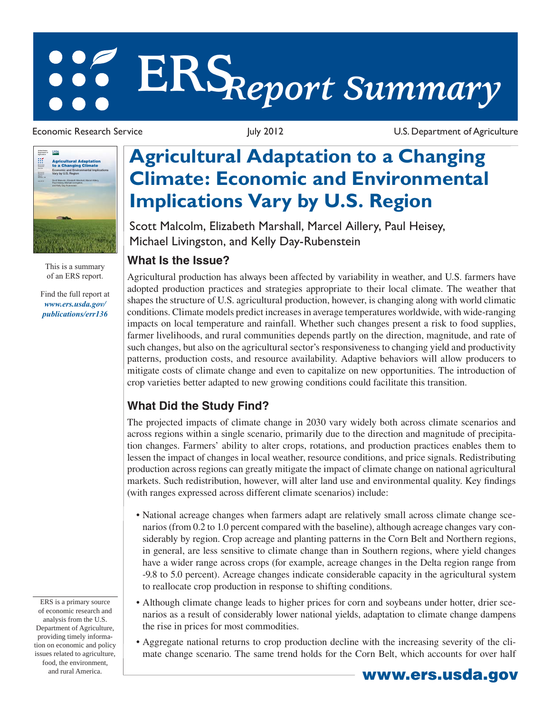# **ERS***Report Summary*



This is a summary of an ERS report.

Find the full report at *www.ers.usda.gov/ publications/err136*

Economic Research Service The Service Control 11 and 2012 U.S. Department of Agriculture

## **Agricultural Adaptation to a Changing Climate: Economic and Environmental Implications Vary by U.S. Region**

Scott Malcolm, Elizabeth Marshall, Marcel Aillery, Paul Heisey, Michael Livingston, and Kelly Day-Rubenstein

#### **What Is the Issue?**

Agricultural production has always been affected by variability in weather, and U.S. farmers have adopted production practices and strategies appropriate to their local climate. The weather that shapes the structure of U.S. agricultural production, however, is changing along with world climatic conditions. Climate models predict increases in average temperatures worldwide, with wide-ranging impacts on local temperature and rainfall. Whether such changes present a risk to food supplies, farmer livelihoods, and rural communities depends partly on the direction, magnitude, and rate of such changes, but also on the agricultural sector's responsiveness to changing yield and productivity patterns, production costs, and resource availability. Adaptive behaviors will allow producers to mitigate costs of climate change and even to capitalize on new opportunities. The introduction of crop varieties better adapted to new growing conditions could facilitate this transition.

### **What Did the Study Find?**

The projected impacts of climate change in 2030 vary widely both across climate scenarios and across regions within a single scenario, primarily due to the direction and magnitude of precipitation changes. Farmers' ability to alter crops, rotations, and production practices enables them to lessen the impact of changes in local weather, resource conditions, and price signals. Redistributing production across regions can greatly mitigate the impact of climate change on national agricultural markets. Such redistribution, however, will alter land use and environmental quality. Key findings (with ranges expressed across different climate scenarios) include:

- National acreage changes when farmers adapt are relatively small across climate change scenarios (from 0.2 to 1.0 percent compared with the baseline), although acreage changes vary considerably by region. Crop acreage and planting patterns in the Corn Belt and Northern regions, in general, are less sensitive to climate change than in Southern regions, where yield changes have a wider range across crops (for example, acreage changes in the Delta region range from -9.8 to 5.0 percent). Acreage changes indicate considerable capacity in the agricultural system to reallocate crop production in response to shifting conditions.
- Although climate change leads to higher prices for corn and soybeans under hotter, drier scenarios as a result of considerably lower national yields, adaptation to climate change dampens the rise in prices for most commodities.
- Aggregate national returns to crop production decline with the increasing severity of the climate change scenario. The same trend holds for the Corn Belt, which accounts for over half

ERS is a primary source of economic research and analysis from the U.S. Department of Agriculture, providing timely information on economic and policy issues related to agriculture, food, the environment,